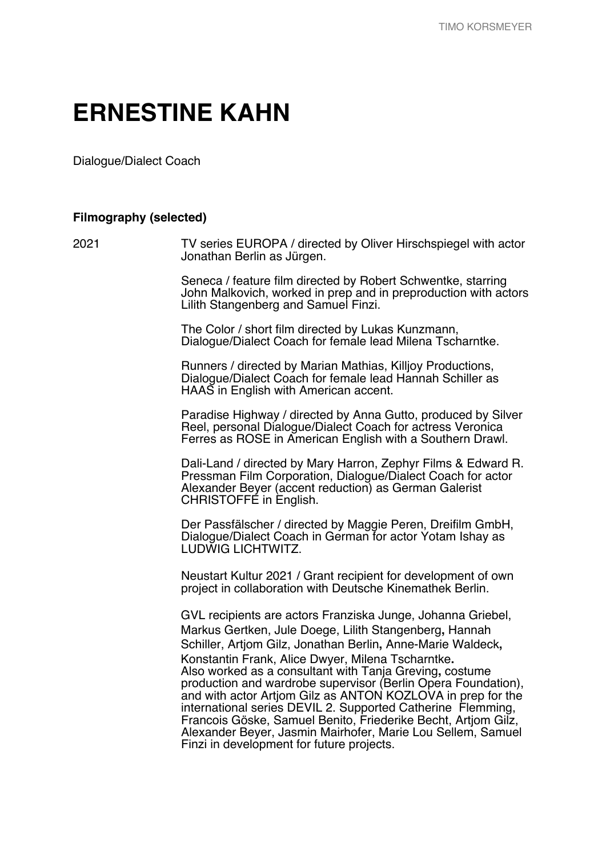## **ERNESTINE KAHN**

Dialogue/Dialect Coach

## **Filmography (selected)**

2021 TV series EUROPA / directed by Oliver Hirschspiegel with actor Jonathan Berlin as Jürgen.

> Seneca / feature film directed by Robert Schwentke, starring John Malkovich, worked in prep and in preproduction with actors Lilith Stangenberg and Samuel Finzi.

The Color / short film directed by Lukas Kunzmann, Dialogue/Dialect Coach for female lead Milena Tscharntke.

Runners / directed by Marian Mathias, Killjoy Productions, Dialogue/Dialect Coach for female lead Hannah Schiller as HAAS in English with American accent.

Paradise Highway / directed by Anna Gutto, produced by Silver Reel, personal Dialogue/Dialect Coach for actress Veronica Ferres as ROSE in American English with a Southern Drawl.

Dali-Land / directed by Mary Harron, Zephyr Films & Edward R. Pressman Film Corporation, Dialogue/Dialect Coach for actor Alexander Beyer (accent reduction) as German Galerist CHRISTOFFE in English.

Der Passfälscher / directed by Maggie Peren, Dreifilm GmbH, Dialogue/Dialect Coach in German for actor Yotam Ishay as LUDWIG LICHTWITZ.

Neustart Kultur 2021 / Grant recipient for development of own project in collaboration with Deutsche Kinemathek Berlin.

GVL recipients are actors Franziska Junge, Johanna Griebel, Markus Gertken, Jule Doege, Lilith Stangenberg**,** Hannah Schiller, Artjom Gilz, Jonathan Berlin**,** Anne-Marie Waldeck**,**  Konstantin Frank, Alice Dwyer, Milena Tscharntke**.** Also worked as a consultant with Tanja Greving**,** costume production and wardrobe supervisor (Berlin Opera Foundation), and with actor Artjom Gilz as ANTON KOZLOVA in prep for the international series DEVIL 2. Supported Catherine Flemming, Francois Göske, Samuel Benito, Friederike Becht, Artjom Gilz, Alexander Beyer, Jasmin Mairhofer, Marie Lou Sellem, Samuel Finzi in development for future projects.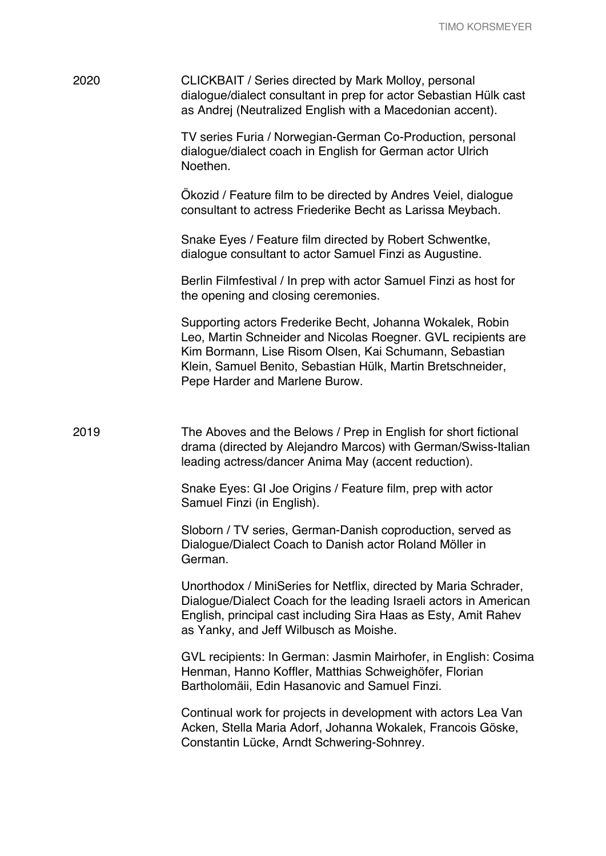| 2020 | CLICKBAIT / Series directed by Mark Molloy, personal<br>dialogue/dialect consultant in prep for actor Sebastian Hülk cast<br>as Andrej (Neutralized English with a Macedonian accent).                                                                                                |
|------|---------------------------------------------------------------------------------------------------------------------------------------------------------------------------------------------------------------------------------------------------------------------------------------|
|      | TV series Furia / Norwegian-German Co-Production, personal<br>dialogue/dialect coach in English for German actor Ulrich<br>Noethen.                                                                                                                                                   |
|      | Okozid / Feature film to be directed by Andres Veiel, dialogue<br>consultant to actress Friederike Becht as Larissa Meybach.                                                                                                                                                          |
|      | Snake Eyes / Feature film directed by Robert Schwentke,<br>dialogue consultant to actor Samuel Finzi as Augustine.                                                                                                                                                                    |
|      | Berlin Filmfestival / In prep with actor Samuel Finzi as host for<br>the opening and closing ceremonies.                                                                                                                                                                              |
|      | Supporting actors Frederike Becht, Johanna Wokalek, Robin<br>Leo, Martin Schneider and Nicolas Roegner. GVL recipients are<br>Kim Bormann, Lise Risom Olsen, Kai Schumann, Sebastian<br>Klein, Samuel Benito, Sebastian Hülk, Martin Bretschneider,<br>Pepe Harder and Marlene Burow. |
| 2019 | The Aboves and the Belows / Prep in English for short fictional<br>drama (directed by Alejandro Marcos) with German/Swiss-Italian<br>leading actress/dancer Anima May (accent reduction).                                                                                             |
|      | Snake Eyes: GI Joe Origins / Feature film, prep with actor<br>Samuel Finzi (in English).                                                                                                                                                                                              |
|      | Sloborn / TV series, German-Danish coproduction, served as<br>Dialogue/Dialect Coach to Danish actor Roland Möller in<br>German.                                                                                                                                                      |
|      | Unorthodox / MiniSeries for Netflix, directed by Maria Schrader,<br>Dialogue/Dialect Coach for the leading Israeli actors in American<br>English, principal cast including Sira Haas as Esty, Amit Rahev<br>as Yanky, and Jeff Wilbusch as Moishe.                                    |
|      | GVL recipients: In German: Jasmin Mairhofer, in English: Cosima<br>Henman, Hanno Koffler, Matthias Schweighöfer, Florian<br>Bartholomäii, Edin Hasanovic and Samuel Finzi.                                                                                                            |
|      | Continual work for projects in development with actors Lea Van<br>Acken, Stella Maria Adorf, Johanna Wokalek, Francois Göske,<br>Constantin Lücke, Arndt Schwering-Sohnrey.                                                                                                           |
|      |                                                                                                                                                                                                                                                                                       |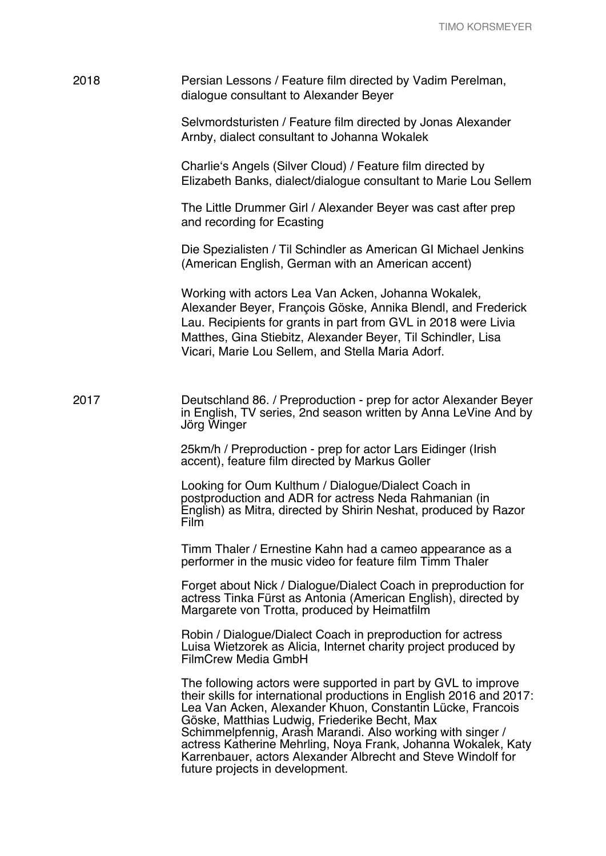| 2018 | Persian Lessons / Feature film directed by Vadim Perelman,<br>dialogue consultant to Alexander Beyer                                                                                                                                                                                                                                                                                                                                                                                   |
|------|----------------------------------------------------------------------------------------------------------------------------------------------------------------------------------------------------------------------------------------------------------------------------------------------------------------------------------------------------------------------------------------------------------------------------------------------------------------------------------------|
|      | Selvmordsturisten / Feature film directed by Jonas Alexander<br>Arnby, dialect consultant to Johanna Wokalek                                                                                                                                                                                                                                                                                                                                                                           |
|      | Charlie's Angels (Silver Cloud) / Feature film directed by<br>Elizabeth Banks, dialect/dialogue consultant to Marie Lou Sellem                                                                                                                                                                                                                                                                                                                                                         |
|      | The Little Drummer Girl / Alexander Beyer was cast after prep<br>and recording for Ecasting                                                                                                                                                                                                                                                                                                                                                                                            |
|      | Die Spezialisten / Til Schindler as American GI Michael Jenkins<br>(American English, German with an American accent)                                                                                                                                                                                                                                                                                                                                                                  |
|      | Working with actors Lea Van Acken, Johanna Wokalek,<br>Alexander Beyer, François Göske, Annika Blendl, and Frederick<br>Lau. Recipients for grants in part from GVL in 2018 were Livia<br>Matthes, Gina Stiebitz, Alexander Beyer, Til Schindler, Lisa<br>Vicari, Marie Lou Sellem, and Stella Maria Adorf.                                                                                                                                                                            |
| 2017 | Deutschland 86. / Preproduction - prep for actor Alexander Beyer<br>in English, TV series, 2nd season written by Anna LeVine And by<br>Jörg Winger                                                                                                                                                                                                                                                                                                                                     |
|      | 25km/h / Preproduction - prep for actor Lars Eidinger (Irish<br>accent), feature film directed by Markus Goller                                                                                                                                                                                                                                                                                                                                                                        |
|      | Looking for Oum Kulthum / Dialogue/Dialect Coach in<br>postproduction and ADR for actress Neda Rahmanian (in<br>English) as Mitra, directed by Shirin Neshat, produced by Razor<br>Film                                                                                                                                                                                                                                                                                                |
|      | Timm Thaler / Ernestine Kahn had a cameo appearance as a<br>performer in the music video for feature film Timm Thaler                                                                                                                                                                                                                                                                                                                                                                  |
|      | Forget about Nick / Dialogue/Dialect Coach in preproduction for<br>actress Tinka Fürst as Antonia (American English), directed by<br>Margarete von Trotta, produced by Heimatfilm                                                                                                                                                                                                                                                                                                      |
|      | Robin / Dialogue/Dialect Coach in preproduction for actress<br>Luisa Wietzorek as Alicia, Internet charity project produced by<br><b>FilmCrew Media GmbH</b>                                                                                                                                                                                                                                                                                                                           |
|      | The following actors were supported in part by GVL to improve<br>their skills for international productions in English 2016 and 2017:<br>Lea Van Acken, Alexander Khuon, Constantin Lücke, Francois<br>Göske, Matthias Ludwig, Friederike Becht, Max<br>Schimmelpfennig, Arash Marandi. Also working with singer /<br>actress Katherine Mehrling, Noya Frank, Johanna Wokalek, Katy<br>Karrenbauer, actors Alexander Albrecht and Steve Windolf for<br>future projects in development. |
|      |                                                                                                                                                                                                                                                                                                                                                                                                                                                                                        |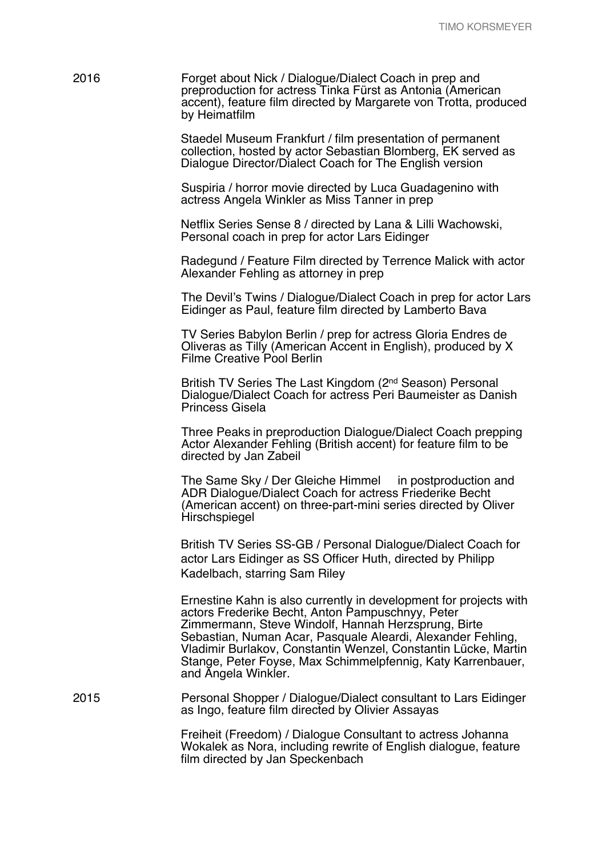Staedel Museum Frankfurt / film presentation of permanent collection, hosted by actor Sebastian Blomberg, EK served as Dialogue Director/Dialect Coach for The English version

Suspiria / horror movie directed by Luca Guadagenino with actress Angela Winkler as Miss Tanner in prep

Netflix Series Sense 8 / directed by Lana & Lilli Wachowski, Personal coach in prep for actor Lars Eidinger

Radegund / Feature Film directed by Terrence Malick with actor Alexander Fehling as attorney in prep

The Devil's Twins / Dialogue/Dialect Coach in prep for actor Lars Eidinger as Paul, feature film directed by Lamberto Bava

TV Series Babylon Berlin / prep for actress Gloria Endres de Oliveras as Tilly (American Accent in English), produced by X Filme Creative Pool Berlin

British TV Series The Last Kingdom (2nd Season) Personal Dialogue/Dialect Coach for actress Peri Baumeister as Danish Princess Gisela

Three Peaks in preproduction Dialogue/Dialect Coach prepping Actor Alexander Fehling (British accent) for feature film to be directed by Jan Zabeil

The Same Sky / Der Gleiche Himmel in postproduction and ADR Dialogue/Dialect Coach for actress Friederike Becht (American accent) on three-part-mini series directed by Oliver **Hirschspiegel** 

British TV Series SS-GB / Personal Dialogue/Dialect Coach for actor Lars Eidinger as SS Officer Huth, directed by Philipp Kadelbach, starring Sam Riley

Ernestine Kahn is also currently in development for projects with actors Frederike Becht, Anton Pampuschnyy, Peter Zimmermann, Steve Windolf, Hannah Herzsprung, Birte Sebastian, Numan Acar, Pasquale Aleardi, Alexander Fehling, Vladimir Burlakov, Constantin Wenzel, Constantin Lücke, Martin Stange, Peter Foyse, Max Schimmelpfennig, Katy Karrenbauer, and Angela Winkler.

2015 Personal Shopper / Dialogue/Dialect consultant to Lars Eidinger as Ingo, feature film directed by Olivier Assayas

> Freiheit (Freedom) / Dialogue Consultant to actress Johanna Wokalek as Nora, including rewrite of English dialogue, feature film directed by Jan Speckenbach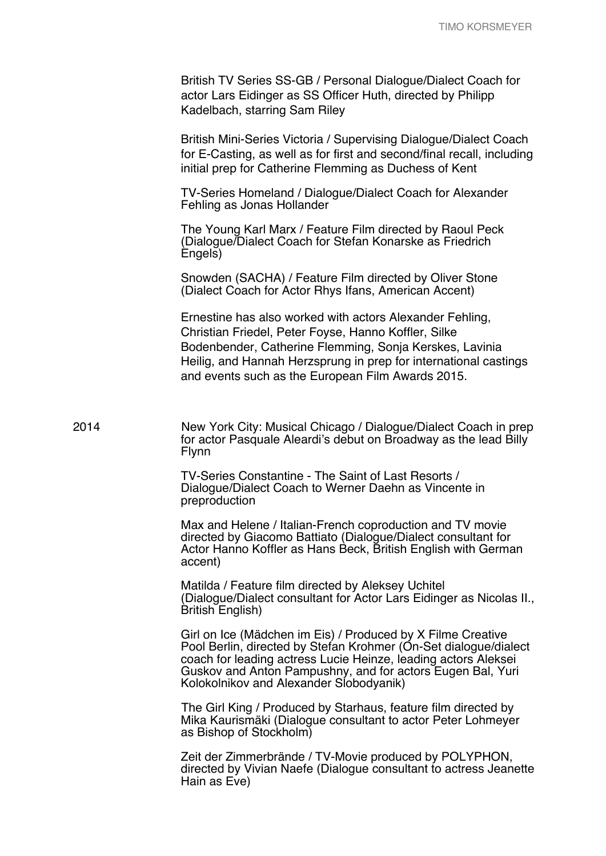|      | British TV Series SS-GB / Personal Dialogue/Dialect Coach for<br>actor Lars Eidinger as SS Officer Huth, directed by Philipp<br>Kadelbach, starring Sam Riley                                                                                                                                              |
|------|------------------------------------------------------------------------------------------------------------------------------------------------------------------------------------------------------------------------------------------------------------------------------------------------------------|
|      | British Mini-Series Victoria / Supervising Dialogue/Dialect Coach<br>for E-Casting, as well as for first and second/final recall, including<br>initial prep for Catherine Flemming as Duchess of Kent                                                                                                      |
|      | TV-Series Homeland / Dialogue/Dialect Coach for Alexander<br>Fehling as Jonas Hollander                                                                                                                                                                                                                    |
|      | The Young Karl Marx / Feature Film directed by Raoul Peck<br>(Dialogue/Dialect Coach for Stefan Konarske as Friedrich<br>Engels)                                                                                                                                                                           |
|      | Snowden (SACHA) / Feature Film directed by Oliver Stone<br>(Dialect Coach for Actor Rhys Ifans, American Accent)                                                                                                                                                                                           |
|      | Ernestine has also worked with actors Alexander Fehling,<br>Christian Friedel, Peter Foyse, Hanno Koffler, Silke<br>Bodenbender, Catherine Flemming, Sonja Kerskes, Lavinia<br>Heilig, and Hannah Herzsprung in prep for international castings<br>and events such as the European Film Awards 2015.       |
| 2014 | New York City: Musical Chicago / Dialogue/Dialect Coach in prep<br>for actor Pasquale Aleardi's debut on Broadway as the lead Billy<br>Flynn                                                                                                                                                               |
|      | TV-Series Constantine - The Saint of Last Resorts /<br>Dialogue/Dialect Coach to Werner Daehn as Vincente in<br>preproduction                                                                                                                                                                              |
|      | Max and Helene / Italian-French coproduction and TV movie<br>directed by Giacomo Battiato (Dialogue/Dialect consultant for<br>Actor Hanno Koffler as Hans Beck, British English with German<br>accent)                                                                                                     |
|      | Matilda / Feature film directed by Aleksey Uchitel<br>(Dialogue/Dialect consultant for Actor Lars Eidinger as Nicolas II.,<br><b>British English)</b>                                                                                                                                                      |
|      | Girl on Ice (Mädchen im Eis) / Produced by X Filme Creative<br>Pool Berlin, directed by Stefan Krohmer (On-Set dialogue/dialect<br>coach for leading actress Lucie Heinze, leading actors Aleksei<br>Guskov and Anton Pampushny, and for actors Eugen Bal, Yuri<br>Kolokolnikov and Alexander Slobodyanik) |
|      | The Girl King / Produced by Starhaus, feature film directed by<br>Mika Kaurismäki (Dialogue consultant to actor Peter Lohmeyer<br>as Bishop of Stockholm)                                                                                                                                                  |
|      | Zeit der Zimmerbrände / TV-Movie produced by POLYPHON,<br>directed by Vivian Naefe (Dialogue consultant to actress Jeanette<br>Hain as Eve)                                                                                                                                                                |
|      |                                                                                                                                                                                                                                                                                                            |